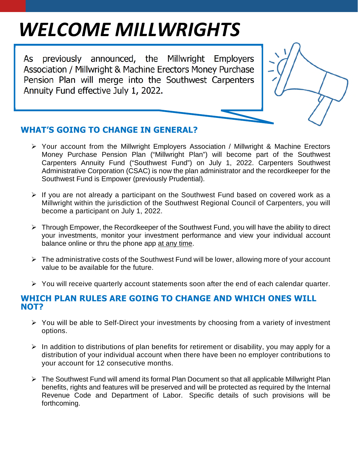# *WELCOME MILLWRIGHTS*

As previously announced, the Millwright Employers Association / Millwright & Machine Erectors Money Purchase Pension Plan will merge into the Southwest Carpenters Annuity Fund effective July 1, 2022.

## **WHAT'S GOING TO CHANGE IN GENERAL?**

- Your account from the Millwright Employers Association / Millwright & Machine Erectors Money Purchase Pension Plan ("Millwright Plan") will become part of the Southwest Carpenters Annuity Fund ("Southwest Fund") on July 1, 2022. Carpenters Southwest Administrative Corporation (CSAC) is now the plan administrator and the recordkeeper for the Southwest Fund is Empower (previously Prudential).
- $\triangleright$  If you are not already a participant on the Southwest Fund based on covered work as a Millwright within the jurisdiction of the Southwest Regional Council of Carpenters, you will become a participant on July 1, 2022.
- $\triangleright$  Through Empower, the Recordkeeper of the Southwest Fund, you will have the ability to direct your investments, monitor your investment performance and view your individual account balance online or thru the phone app at any time.
- $\triangleright$  The administrative costs of the Southwest Fund will be lower, allowing more of your account value to be available for the future.
- $\triangleright$  You will receive quarterly account statements soon after the end of each calendar quarter.

### **WHICH PLAN RULES ARE GOING TO CHANGE AND WHICH ONES WILL NOT?**

- $\triangleright$  You will be able to Self-Direct your investments by choosing from a variety of investment options.
- $\triangleright$  In addition to distributions of plan benefits for retirement or disability, you may apply for a distribution of your individual account when there have been no employer contributions to your account for 12 consecutive months.
- $\triangleright$  The Southwest Fund will amend its formal Plan Document so that all applicable Millwright Plan benefits, rights and features will be preserved and will be protected as required by the Internal Revenue Code and Department of Labor. Specific details of such provisions will be forthcoming.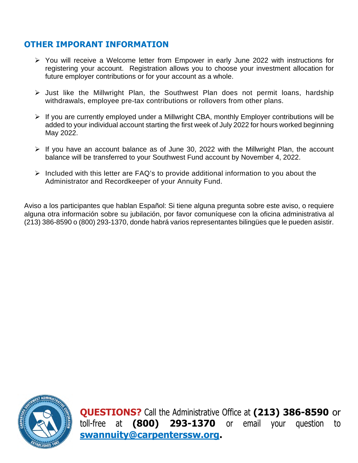## **OTHER IMPORANT INFORMATION**

- You will receive a Welcome letter from Empower in early June 2022 with instructions for registering your account. Registration allows you to choose your investment allocation for future employer contributions or for your account as a whole.
- $\triangleright$  Just like the Millwright Plan, the Southwest Plan does not permit loans, hardship withdrawals, employee pre-tax contributions or rollovers from other plans.
- $\triangleright$  If you are currently employed under a Millwright CBA, monthly Employer contributions will be added to your individual account starting the first week of July 2022 for hours worked beginning May 2022.
- $\triangleright$  If you have an account balance as of June 30, 2022 with the Millwright Plan, the account balance will be transferred to your Southwest Fund account by November 4, 2022.
- $\triangleright$  Included with this letter are FAQ's to provide additional information to you about the Administrator and Recordkeeper of your Annuity Fund.

Aviso a los participantes que hablan Español: Si tiene alguna pregunta sobre este aviso, o requiere alguna otra información sobre su jubilación, por favor comuníquese con la oficina administrativa al (213) 386-8590 o (800) 293-1370, donde habrá varios representantes bilingües que le pueden asistir.



**QUESTIONS?** Call the Administrative Office at **(213) 386-8590** or toll-free at **(800) 293-1370** or email your question to **swannuity@carpenterssw.org.**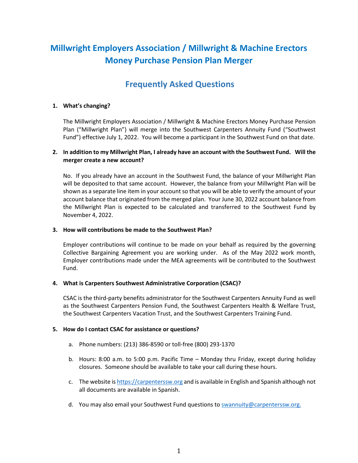## **Millwright Employers Association / Millwright & Machine Erectors Money Purchase Pension Plan Merger**

## **Frequently Asked Questions**

#### **1. What's changing?**

The Millwright Employers Association / Millwright & Machine Erectors Money Purchase Pension Plan ("Millwright Plan") will merge into the Southwest Carpenters Annuity Fund ("Southwest Fund") effective July 1, 2022. You will become a participant in the Southwest Fund on that date.

#### **2. In addition to my Millwright Plan, I already have an account with the Southwest Fund. Will the merger create a new account?**

No. If you already have an account in the Southwest Fund, the balance of your Millwright Plan will be deposited to that same account. However, the balance from your Millwright Plan will be shown as a separate line item in your account so that you will be able to verify the amount of your account balance that originated from the merged plan. Your June 30, 2022 account balance from the Millwright Plan is expected to be calculated and transferred to the Southwest Fund by November 4, 2022.

#### **3. How will contributions be made to the Southwest Plan?**

Employer contributions will continue to be made on your behalf as required by the governing Collective Bargaining Agreement you are working under. As of the May 2022 work month, Employer contributions made under the MEA agreements will be contributed to the Southwest Fund.

#### **4. What is Carpenters Southwest Administrative Corporation (CSAC)?**

CSAC is the third-party benefits administrator for the Southwest Carpenters Annuity Fund as well as the Southwest Carpenters Pension Fund, the Southwest Carpenters Health & Welfare Trust, the Southwest Carpenters Vacation Trust, and the Southwest Carpenters Training Fund.

#### **5. How do I contact CSAC for assistance or questions?**

- a. Phone numbers: (213) 386-8590 or toll-free (800) 293-1370
- b. Hours: 8:00 a.m. to 5:00 p.m. Pacific Time Monday thru Friday, except during holiday closures. Someone should be available to take your call during these hours.
- c. The website is https://carpenterssw.org and is available in English and Spanish although not all documents are available in Spanish.
- d. You may also email your Southwest Fund questions to swannuity@carpenterssw.org.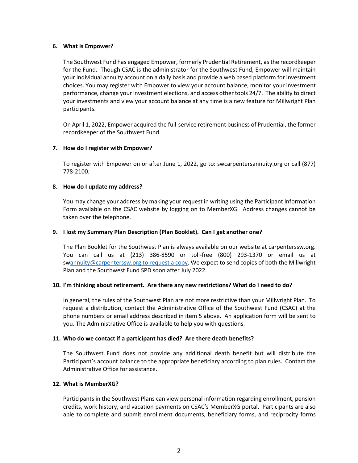#### **6. What is Empower?**

The Southwest Fund has engaged Empower, formerly Prudential Retirement, as the recordkeeper for the Fund. Though CSAC is the administrator for the Southwest Fund, Empower will maintain your individual annuity account on a daily basis and provide a web based platform for investment choices. You may register with Empower to view your account balance, monitor your investment performance, change your investment elections, and access other tools 24/7. The ability to direct your investments and view your account balance at any time is a new feature for Millwright Plan participants.

On April 1, 2022, Empower acquired the full-service retirement business of Prudential, the former recordkeeper of the Southwest Fund.

#### **7. How do I register with Empower?**

To register with Empower on or after June 1, 2022, go to: swcarpentersannuity.org or call (877) 778-2100.

#### **8. How do I update my address?**

You may change your address by making your request in writing using the Participant Information Form available on the CSAC website by logging on to MemberXG. Address changes cannot be taken over the telephone.

#### **9. I lost my Summary Plan Description (Plan Booklet). Can I get another one?**

The Plan Booklet for the Southwest Plan is always available on our website at carpenterssw.org. You can call us at (213) 386-8590 or toll-free (800) 293-1370 or email us at swannuity@carpenterssw.org to request a copy. We expect to send copies of both the Millwright Plan and the Southwest Fund SPD soon after July 2022.

#### **10. I'm thinking about retirement. Are there any new restrictions? What do I need to do?**

In general, the rules of the Southwest Plan are not more restrictive than your Millwright Plan. To request a distribution, contact the Administrative Office of the Southwest Fund (CSAC) at the phone numbers or email address described in item 5 above. An application form will be sent to you. The Administrative Office is available to help you with questions.

#### **11. Who do we contact if a participant has died? Are there death benefits?**

The Southwest Fund does not provide any additional death benefit but will distribute the Participant's account balance to the appropriate beneficiary according to plan rules. Contact the Administrative Office for assistance.

#### **12. What is MemberXG?**

Participants in the Southwest Plans can view personal information regarding enrollment, pension credits, work history, and vacation payments on CSAC's MemberXG portal. Participants are also able to complete and submit enrollment documents, beneficiary forms, and reciprocity forms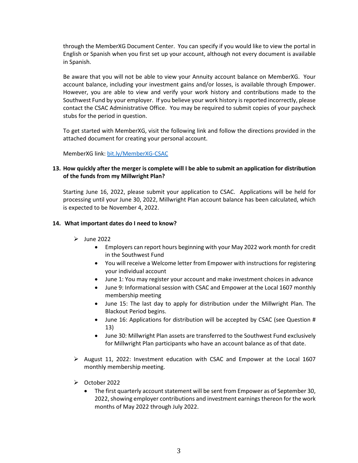through the MemberXG Document Center. You can specify if you would like to view the portal in English or Spanish when you first set up your account, although not every document is available in Spanish.

Be aware that you will not be able to view your Annuity account balance on MemberXG. Your account balance, including your investment gains and/or losses, is available through Empower. However, you are able to view and verify your work history and contributions made to the Southwest Fund by your employer. If you believe your work history is reported incorrectly, please contact the CSAC Administrative Office. You may be required to submit copies of your paycheck stubs for the period in question.

To get started with MemberXG, visit the following link and follow the directions provided in the attached document for creating your personal account.

MemberXG link: bit.ly/MemberXG-CSAC

#### **13. How quickly after the merger is complete will I be able to submit an application for distribution of the funds from my Millwright Plan?**

Starting June 16, 2022, please submit your application to CSAC. Applications will be held for processing until your June 30, 2022, Millwright Plan account balance has been calculated, which is expected to be November 4, 2022.

#### **14. What important dates do I need to know?**

- $\blacktriangleright$  June 2022
	- Employers can report hours beginning with your May 2022 work month for credit in the Southwest Fund
	- You will receive a Welcome letter from Empower with instructions for registering your individual account
	- June 1: You may register your account and make investment choices in advance
	- June 9: Informational session with CSAC and Empower at the Local 1607 monthly membership meeting
	- June 15: The last day to apply for distribution under the Millwright Plan. The Blackout Period begins.
	- June 16: Applications for distribution will be accepted by CSAC (see Question # 13)
	- June 30: Millwright Plan assets are transferred to the Southwest Fund exclusively for Millwright Plan participants who have an account balance as of that date.
- $\triangleright$  August 11, 2022: Investment education with CSAC and Empower at the Local 1607 monthly membership meeting.
- $\triangleright$  October 2022
	- The first quarterly account statement will be sent from Empower as of September 30, 2022, showing employer contributions and investment earnings thereon for the work months of May 2022 through July 2022.